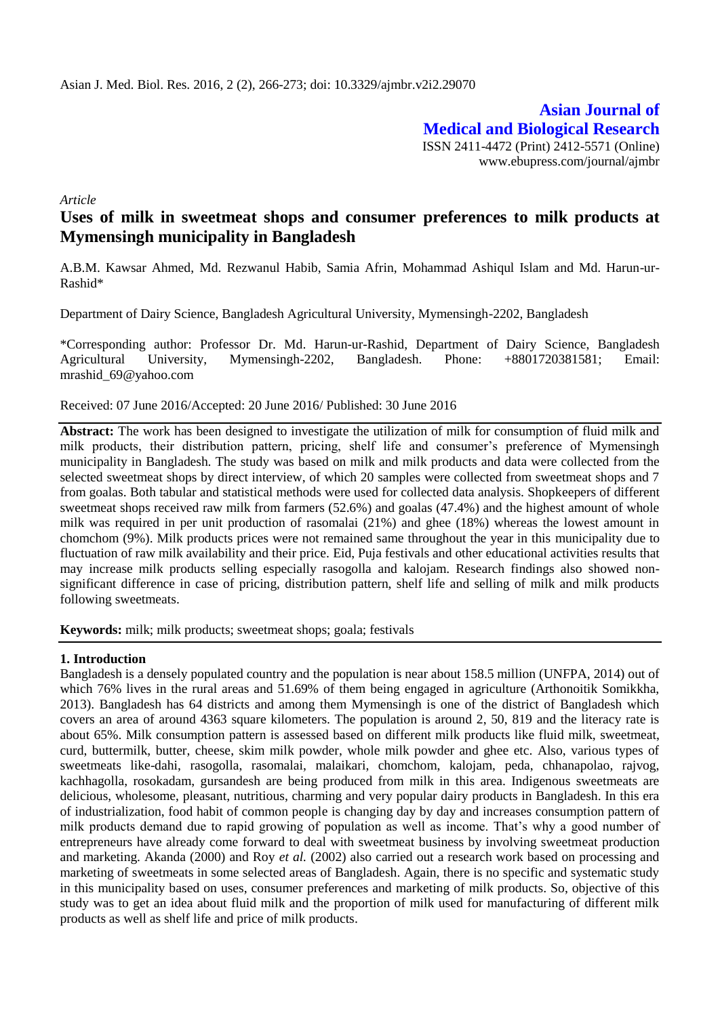**Asian Journal of Medical and Biological Research** ISSN 2411-4472 (Print) 2412-5571 (Online) www.ebupress.com/journal/ajmbr

*Article*

# **Uses of milk in sweetmeat shops and consumer preferences to milk products at Mymensingh municipality in Bangladesh**

A.B.M. Kawsar Ahmed, Md. Rezwanul Habib, Samia Afrin, Mohammad Ashiqul Islam and Md. Harun-ur-Rashid\*

Department of Dairy Science, Bangladesh Agricultural University, Mymensingh-2202, Bangladesh

\*Corresponding author: Professor Dr. Md. Harun-ur-Rashid, Department of Dairy Science, Bangladesh Agricultural University, Mymensingh-2202, Bangladesh. Phone: +8801720381581; Email: mrashid\_69@yahoo.com

Received: 07 June 2016/Accepted: 20 June 2016/ Published: 30 June 2016

**Abstract:** The work has been designed to investigate the utilization of milk for consumption of fluid milk and milk products, their distribution pattern, pricing, shelf life and consumer's preference of Mymensingh municipality in Bangladesh. The study was based on milk and milk products and data were collected from the selected sweetmeat shops by direct interview, of which 20 samples were collected from sweetmeat shops and 7 from goalas. Both tabular and statistical methods were used for collected data analysis. Shopkeepers of different sweetmeat shops received raw milk from farmers (52.6%) and goalas (47.4%) and the highest amount of whole milk was required in per unit production of rasomalai (21%) and ghee (18%) whereas the lowest amount in chomchom (9%). Milk products prices were not remained same throughout the year in this municipality due to fluctuation of raw milk availability and their price. Eid, Puja festivals and other educational activities results that may increase milk products selling especially rasogolla and kalojam. Research findings also showed nonsignificant difference in case of pricing, distribution pattern, shelf life and selling of milk and milk products following sweetmeats.

**Keywords:** milk; milk products; sweetmeat shops; goala; festivals

### **1. Introduction**

Bangladesh is a densely populated country and the population is near about 158.5 million (UNFPA, 2014) out of which 76% lives in the rural areas and 51.69% of them being engaged in agriculture (Arthonoitik Somikkha, 2013). Bangladesh has 64 districts and among them Mymensingh is one of the district of Bangladesh which covers an area of around 4363 square kilometers. The population is around 2, 50, 819 and the literacy rate is about 65%. Milk consumption pattern is assessed based on different milk products like fluid milk, sweetmeat, curd, buttermilk, butter, cheese, skim milk powder, whole milk powder and ghee etc. Also, various types of sweetmeats like-dahi, rasogolla, rasomalai, malaikari, chomchom, kalojam, peda, chhanapolao, rajvog, kachhagolla, rosokadam, gursandesh are being produced from milk in this area. Indigenous sweetmeats are delicious, wholesome, pleasant, nutritious, charming and very popular dairy products in Bangladesh. In this era of industrialization, food habit of common people is changing day by day and increases consumption pattern of milk products demand due to rapid growing of population as well as income. That's why a good number of entrepreneurs have already come forward to deal with sweetmeat business by involving sweetmeat production and marketing. Akanda (2000) and Roy *et al.* (2002) also carried out a research work based on processing and marketing of sweetmeats in some selected areas of Bangladesh. Again, there is no specific and systematic study in this municipality based on uses, consumer preferences and marketing of milk products. So, objective of this study was to get an idea about fluid milk and the proportion of milk used for manufacturing of different milk products as well as shelf life and price of milk products.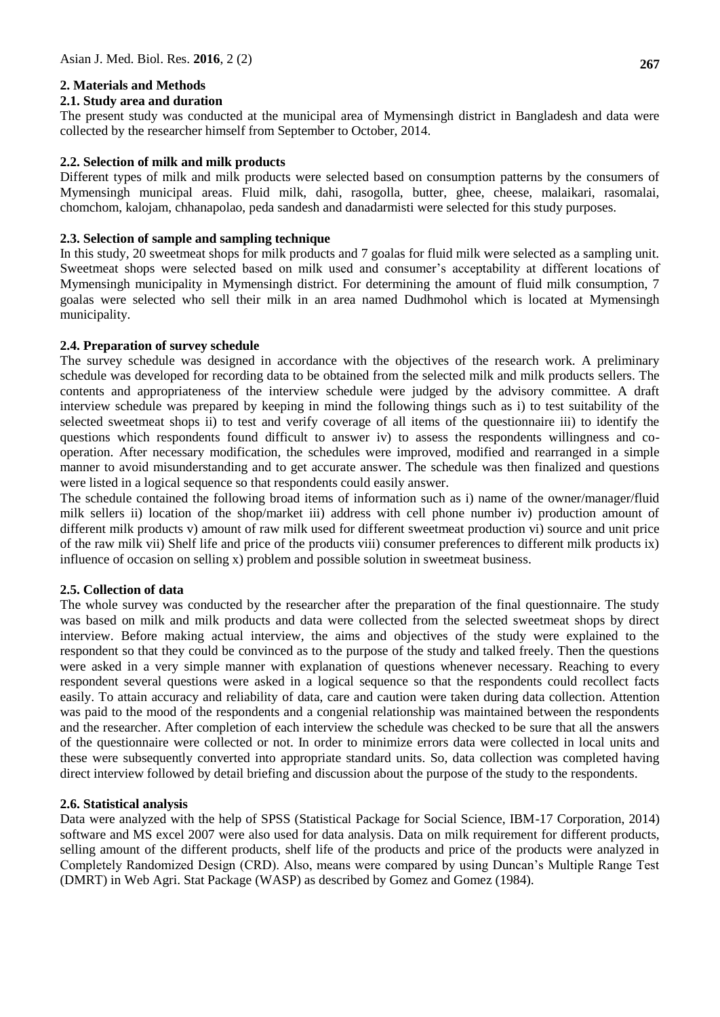### **2. Materials and Methods**

### **2.1. Study area and duration**

The present study was conducted at the municipal area of Mymensingh district in Bangladesh and data were collected by the researcher himself from September to October, 2014.

### **2.2. Selection of milk and milk products**

Different types of milk and milk products were selected based on consumption patterns by the consumers of Mymensingh municipal areas. Fluid milk, dahi, rasogolla, butter, ghee, cheese, malaikari, rasomalai, chomchom, kalojam, chhanapolao, peda sandesh and danadarmisti were selected for this study purposes.

### **2.3. Selection of sample and sampling technique**

In this study, 20 sweetmeat shops for milk products and 7 goalas for fluid milk were selected as a sampling unit. Sweetmeat shops were selected based on milk used and consumer's acceptability at different locations of Mymensingh municipality in Mymensingh district. For determining the amount of fluid milk consumption, 7 goalas were selected who sell their milk in an area named Dudhmohol which is located at Mymensingh municipality.

### **2.4. Preparation of survey schedule**

The survey schedule was designed in accordance with the objectives of the research work. A preliminary schedule was developed for recording data to be obtained from the selected milk and milk products sellers. The contents and appropriateness of the interview schedule were judged by the advisory committee. A draft interview schedule was prepared by keeping in mind the following things such as i) to test suitability of the selected sweetmeat shops ii) to test and verify coverage of all items of the questionnaire iii) to identify the questions which respondents found difficult to answer iv) to assess the respondents willingness and cooperation. After necessary modification, the schedules were improved, modified and rearranged in a simple manner to avoid misunderstanding and to get accurate answer. The schedule was then finalized and questions were listed in a logical sequence so that respondents could easily answer.

The schedule contained the following broad items of information such as i) name of the owner/manager/fluid milk sellers ii) location of the shop/market iii) address with cell phone number iv) production amount of different milk products v) amount of raw milk used for different sweetmeat production vi) source and unit price of the raw milk vii) Shelf life and price of the products viii) consumer preferences to different milk products ix) influence of occasion on selling x) problem and possible solution in sweetmeat business.

### **2.5. Collection of data**

The whole survey was conducted by the researcher after the preparation of the final questionnaire. The study was based on milk and milk products and data were collected from the selected sweetmeat shops by direct interview. Before making actual interview, the aims and objectives of the study were explained to the respondent so that they could be convinced as to the purpose of the study and talked freely. Then the questions were asked in a very simple manner with explanation of questions whenever necessary. Reaching to every respondent several questions were asked in a logical sequence so that the respondents could recollect facts easily. To attain accuracy and reliability of data, care and caution were taken during data collection. Attention was paid to the mood of the respondents and a congenial relationship was maintained between the respondents and the researcher. After completion of each interview the schedule was checked to be sure that all the answers of the questionnaire were collected or not. In order to minimize errors data were collected in local units and these were subsequently converted into appropriate standard units. So, data collection was completed having direct interview followed by detail briefing and discussion about the purpose of the study to the respondents.

#### **2.6. Statistical analysis**

Data were analyzed with the help of SPSS (Statistical Package for Social Science, IBM-17 Corporation, 2014) software and MS excel 2007 were also used for data analysis. Data on milk requirement for different products, selling amount of the different products, shelf life of the products and price of the products were analyzed in Completely Randomized Design (CRD). Also, means were compared by using Duncan's Multiple Range Test (DMRT) in Web Agri. Stat Package (WASP) as described by Gomez and Gomez (1984).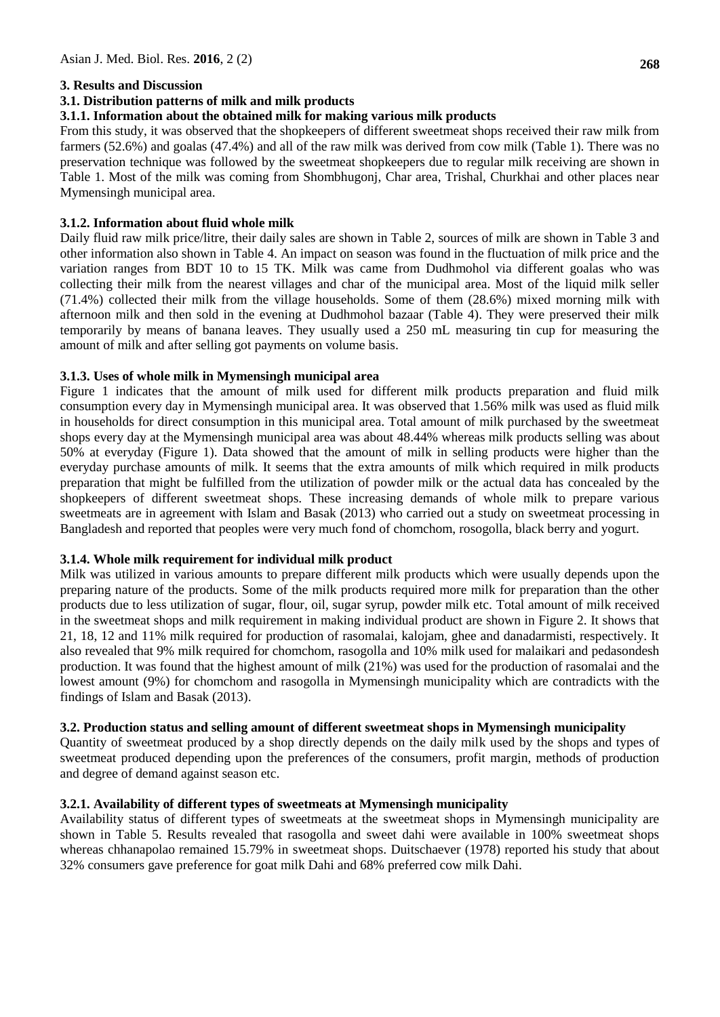## **3. Results and Discussion**

## **3.1. Distribution patterns of milk and milk products**

## **3.1.1. Information about the obtained milk for making various milk products**

From this study, it was observed that the shopkeepers of different sweetmeat shops received their raw milk from farmers (52.6%) and goalas (47.4%) and all of the raw milk was derived from cow milk (Table 1). There was no preservation technique was followed by the sweetmeat shopkeepers due to regular milk receiving are shown in Table 1. Most of the milk was coming from Shombhugonj, Char area, Trishal, Churkhai and other places near Mymensingh municipal area.

## **3.1.2. Information about fluid whole milk**

Daily fluid raw milk price/litre, their daily sales are shown in Table 2, sources of milk are shown in Table 3 and other information also shown in Table 4. An impact on season was found in the fluctuation of milk price and the variation ranges from BDT 10 to 15 TK. Milk was came from Dudhmohol via different goalas who was collecting their milk from the nearest villages and char of the municipal area. Most of the liquid milk seller (71.4%) collected their milk from the village households. Some of them (28.6%) mixed morning milk with afternoon milk and then sold in the evening at Dudhmohol bazaar (Table 4). They were preserved their milk temporarily by means of banana leaves. They usually used a 250 mL measuring tin cup for measuring the amount of milk and after selling got payments on volume basis.

### **3.1.3. Uses of whole milk in Mymensingh municipal area**

Figure 1 indicates that the amount of milk used for different milk products preparation and fluid milk consumption every day in Mymensingh municipal area. It was observed that 1.56% milk was used as fluid milk in households for direct consumption in this municipal area. Total amount of milk purchased by the sweetmeat shops every day at the Mymensingh municipal area was about 48.44% whereas milk products selling was about 50% at everyday (Figure 1). Data showed that the amount of milk in selling products were higher than the everyday purchase amounts of milk. It seems that the extra amounts of milk which required in milk products preparation that might be fulfilled from the utilization of powder milk or the actual data has concealed by the shopkeepers of different sweetmeat shops. These increasing demands of whole milk to prepare various sweetmeats are in agreement with Islam and Basak (2013) who carried out a study on sweetmeat processing in Bangladesh and reported that peoples were very much fond of chomchom, rosogolla, black berry and yogurt.

### **3.1.4. Whole milk requirement for individual milk product**

Milk was utilized in various amounts to prepare different milk products which were usually depends upon the preparing nature of the products. Some of the milk products required more milk for preparation than the other products due to less utilization of sugar, flour, oil, sugar syrup, powder milk etc. Total amount of milk received in the sweetmeat shops and milk requirement in making individual product are shown in Figure 2. It shows that 21, 18, 12 and 11% milk required for production of rasomalai, kalojam, ghee and danadarmisti, respectively. It also revealed that 9% milk required for chomchom, rasogolla and 10% milk used for malaikari and pedasondesh production. It was found that the highest amount of milk (21%) was used for the production of rasomalai and the lowest amount (9%) for chomchom and rasogolla in Mymensingh municipality which are contradicts with the findings of Islam and Basak (2013).

### **3.2. Production status and selling amount of different sweetmeat shops in Mymensingh municipality**

Quantity of sweetmeat produced by a shop directly depends on the daily milk used by the shops and types of sweetmeat produced depending upon the preferences of the consumers, profit margin, methods of production and degree of demand against season etc.

### **3.2.1. Availability of different types of sweetmeats at Mymensingh municipality**

Availability status of different types of sweetmeats at the sweetmeat shops in Mymensingh municipality are shown in Table 5. Results revealed that rasogolla and sweet dahi were available in 100% sweetmeat shops whereas chhanapolao remained 15.79% in sweetmeat shops. Duitschaever (1978) reported his study that about 32% consumers gave preference for goat milk Dahi and 68% preferred cow milk Dahi.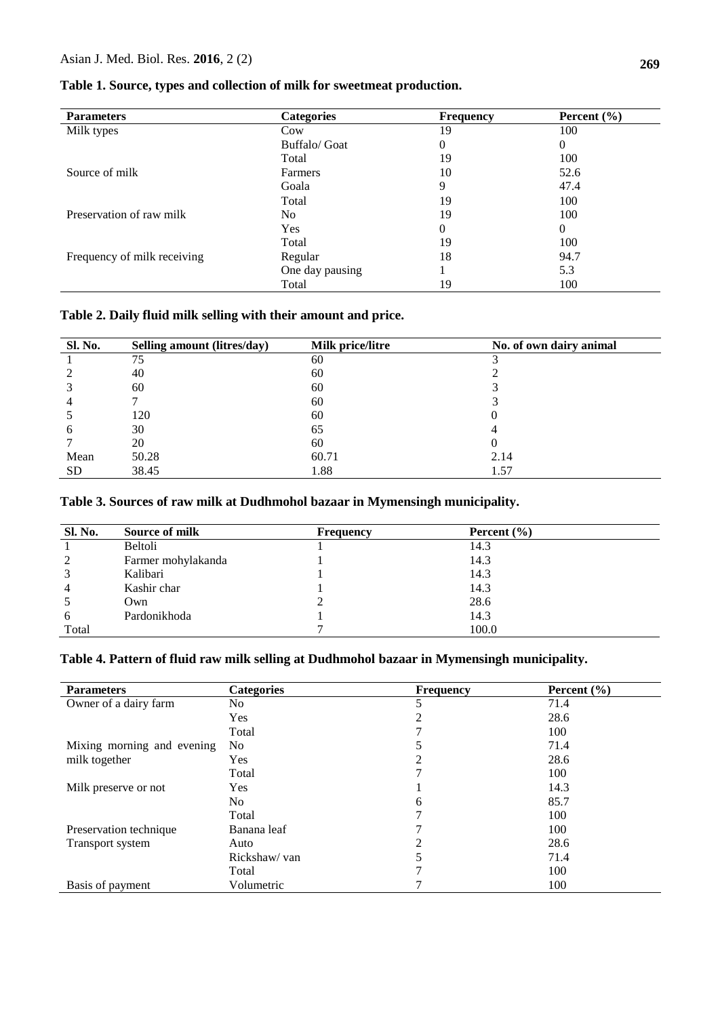| <b>Parameters</b>           | <b>Categories</b> | Frequency | Percent $(\% )$ |
|-----------------------------|-------------------|-----------|-----------------|
| Milk types                  | Cow               | 19        | 100             |
|                             | Buffalo/ Goat     | 0         | 0               |
|                             | Total             | 19        | 100             |
| Source of milk              | Farmers           | 10        | 52.6            |
|                             | Goala             | 9         | 47.4            |
|                             | Total             | 19        | 100             |
| Preservation of raw milk    | N <sub>0</sub>    | 19        | 100             |
|                             | Yes               | 0         | 0               |
|                             | Total             | 19        | 100             |
| Frequency of milk receiving | Regular           | 18        | 94.7            |
|                             | One day pausing   |           | 5.3             |
|                             | Total             | 19        | 100             |

## **Table 1. Source, types and collection of milk for sweetmeat production.**

## **Table 2. Daily fluid milk selling with their amount and price.**

| Sl. No.      | Selling amount (litres/day) | Milk price/litre | No. of own dairy animal |
|--------------|-----------------------------|------------------|-------------------------|
|              | 75                          | 60               |                         |
|              | 40                          | 60               |                         |
|              | 60                          | 60               |                         |
|              |                             | 60               |                         |
|              | 120                         | 60               | O                       |
| <sub>(</sub> | 30                          | 65               |                         |
|              | 20                          | 60               |                         |
| Mean         | 50.28                       | 60.71            | 2.14                    |
| <b>SD</b>    | 38.45                       | 1.88             | 1.57                    |

## **Table 3. Sources of raw milk at Dudhmohol bazaar in Mymensingh municipality.**

| Sl. No. | Source of milk     | <b>Frequency</b> | Percent $(\% )$ |  |
|---------|--------------------|------------------|-----------------|--|
|         | Beltoli            |                  | 14.3            |  |
| 2       | Farmer mohylakanda |                  | 14.3            |  |
| 3       | Kalibari           |                  | 14.3            |  |
| 4       | Kashir char        |                  | 14.3            |  |
|         | Own                |                  | 28.6            |  |
| 6       | Pardonikhoda       |                  | 14.3            |  |
| Total   |                    |                  | 100.0           |  |

## **Table 4. Pattern of fluid raw milk selling at Dudhmohol bazaar in Mymensingh municipality.**

| <b>Parameters</b>          | <b>Categories</b> | <b>Frequency</b> | Percent $(\% )$ |  |
|----------------------------|-------------------|------------------|-----------------|--|
| Owner of a dairy farm      | No                | 5                | 71.4            |  |
|                            | <b>Yes</b>        | 2                | 28.6            |  |
|                            | Total             |                  | 100             |  |
| Mixing morning and evening | N <sub>0</sub>    |                  | 71.4            |  |
| milk together              | <b>Yes</b>        | 2                | 28.6            |  |
|                            | Total             | 7                | 100             |  |
| Milk preserve or not       | <b>Yes</b>        |                  | 14.3            |  |
|                            | No.               | 6                | 85.7            |  |
|                            | Total             | 7                | 100             |  |
| Preservation technique     | Banana leaf       |                  | 100             |  |
| Transport system           | Auto              | $\mathfrak{D}$   | 28.6            |  |
|                            | Rickshaw/ van     |                  | 71.4            |  |
|                            | Total             |                  | 100             |  |
| Basis of payment           | Volumetric        |                  | 100             |  |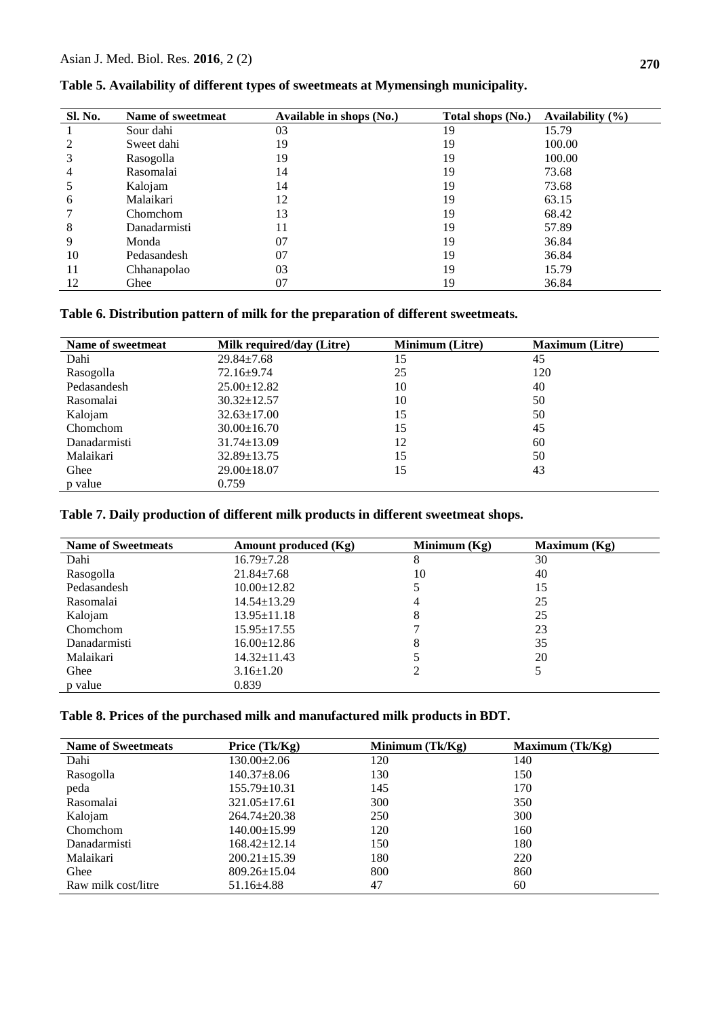| <b>Sl. No.</b> | Name of sweetmeat | Available in shops (No.) | Total shops (No.) | Availability $(\% )$ |
|----------------|-------------------|--------------------------|-------------------|----------------------|
|                | Sour dahi         | 03                       | 19                | 15.79                |
|                | Sweet dahi        | 19                       | 19                | 100.00               |
|                | Rasogolla         | 19                       | 19                | 100.00               |
| 4              | Rasomalai         | 14                       | 19                | 73.68                |
|                | Kalojam           | 14                       | 19                | 73.68                |
| 6              | Malaikari         | 12                       | 19                | 63.15                |
|                | Chomchom          | 13                       | 19                | 68.42                |
| 8              | Danadarmisti      | 11                       | 19                | 57.89                |
| 9              | Monda             | 07                       | 19                | 36.84                |
| 10             | Pedasandesh       | 07                       | 19                | 36.84                |
| 11             | Chhanapolao       | 03                       | 19                | 15.79                |
| 12             | Ghee              | 07                       | 19                | 36.84                |

**Table 5. Availability of different types of sweetmeats at Mymensingh municipality.**

**Table 6. Distribution pattern of milk for the preparation of different sweetmeats.** 

| Name of sweetmeat | <b>Milk required/day (Litre)</b> | <b>Minimum</b> (Litre) | <b>Maximum</b> (Litre) |
|-------------------|----------------------------------|------------------------|------------------------|
| Dahi              | $29.84 \pm 7.68$                 | 15                     | 45                     |
| Rasogolla         | $72.16 \pm 9.74$                 | 25                     | 120                    |
| Pedasandesh       | $25.00 \pm 12.82$                | 10                     | 40                     |
| Rasomalai         | $30.32 \pm 12.57$                | 10                     | 50                     |
| Kalojam           | $32.63 \pm 17.00$                | 15                     | 50                     |
| Chomchom          | $30.00 \pm 16.70$                | 15                     | 45                     |
| Danadarmisti      | $31.74 \pm 13.09$                | 12                     | 60                     |
| Malaikari         | $32.89 \pm 13.75$                | 15                     | 50                     |
| Ghee              | $29.00 \pm 18.07$                | 15                     | 43                     |
| p value           | 0.759                            |                        |                        |

## **Table 7. Daily production of different milk products in different sweetmeat shops.**

| <b>Name of Sweetmeats</b> | Amount produced (Kg) | Minimum $(Kg)$ | Maximum $(Kg)$ |
|---------------------------|----------------------|----------------|----------------|
| Dahi                      | $16.79 \pm 7.28$     | 8              | 30             |
| Rasogolla                 | $21.84 \pm 7.68$     | 10             | 40             |
| Pedasandesh               | $10.00 \pm 12.82$    |                | 15             |
| Rasomalai                 | $14.54 \pm 13.29$    | 4              | 25             |
| Kalojam                   | $13.95 \pm 11.18$    | 8              | 25             |
| Chomchom                  | $15.95 \pm 17.55$    |                | 23             |
| Danadarmisti              | $16.00 \pm 12.86$    | 8              | 35             |
| Malaikari                 | 14.32±11.43          |                | 20             |
| Ghee                      | $3.16 \pm 1.20$      |                | 5              |
| p value                   | 0.839                |                |                |

## **Table 8. Prices of the purchased milk and manufactured milk products in BDT.**

| <b>Name of Sweetmeats</b> | Price (Tk/Kg)      | Minimum $(Tk/Kg)$ | Maximum (Tk/Kg) |
|---------------------------|--------------------|-------------------|-----------------|
| Dahi                      | $130.00 \pm 2.06$  | 120               | 140             |
| Rasogolla                 | $140.37 \pm 8.06$  | 130               | 150             |
| peda                      | $155.79 \pm 10.31$ | 145               | 170             |
| Rasomalai                 | $321.05 \pm 17.61$ | 300               | 350             |
| Kalojam                   | $264.74 \pm 20.38$ | 250               | 300             |
| Chomchom                  | $140.00 \pm 15.99$ | 120               | 160             |
| Danadarmisti              | $168.42 \pm 12.14$ | 150               | 180             |
| Malaikari                 | $200.21 \pm 15.39$ | 180               | 220             |
| Ghee                      | $809.26 \pm 15.04$ | 800               | 860             |
| Raw milk cost/litre       | $51.16 \pm 4.88$   | 47                | 60              |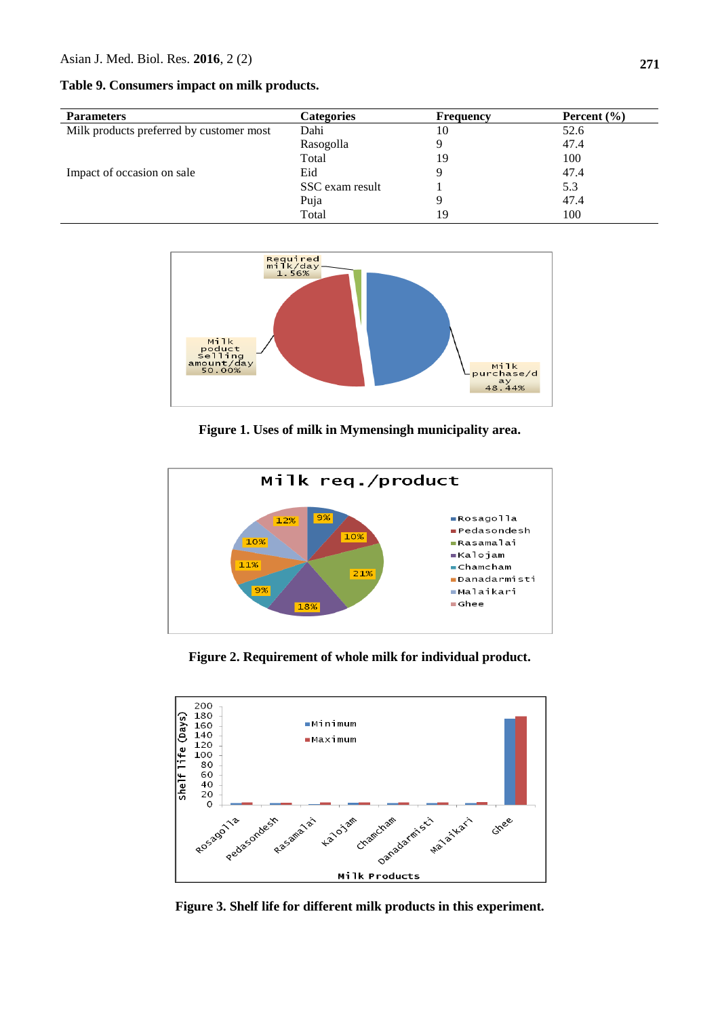**Table 9. Consumers impact on milk products.**

| <b>Parameters</b>                        | <b>Categories</b> | <b>Frequency</b> | Percent $(\% )$ |
|------------------------------------------|-------------------|------------------|-----------------|
| Milk products preferred by customer most | Dahi              | 10               | 52.6            |
|                                          | Rasogolla         |                  | 47.4            |
|                                          | Total             | 19               | 100             |
| Impact of occasion on sale               | Eid               |                  | 47.4            |
|                                          | SSC exam result   |                  | 5.3             |
|                                          | Puja              |                  | 47.4            |
|                                          | Total             | 19               | 100             |



**Figure 1. Uses of milk in Mymensingh municipality area.**



**Figure 2. Requirement of whole milk for individual product.**



**Figure 3. Shelf life for different milk products in this experiment.**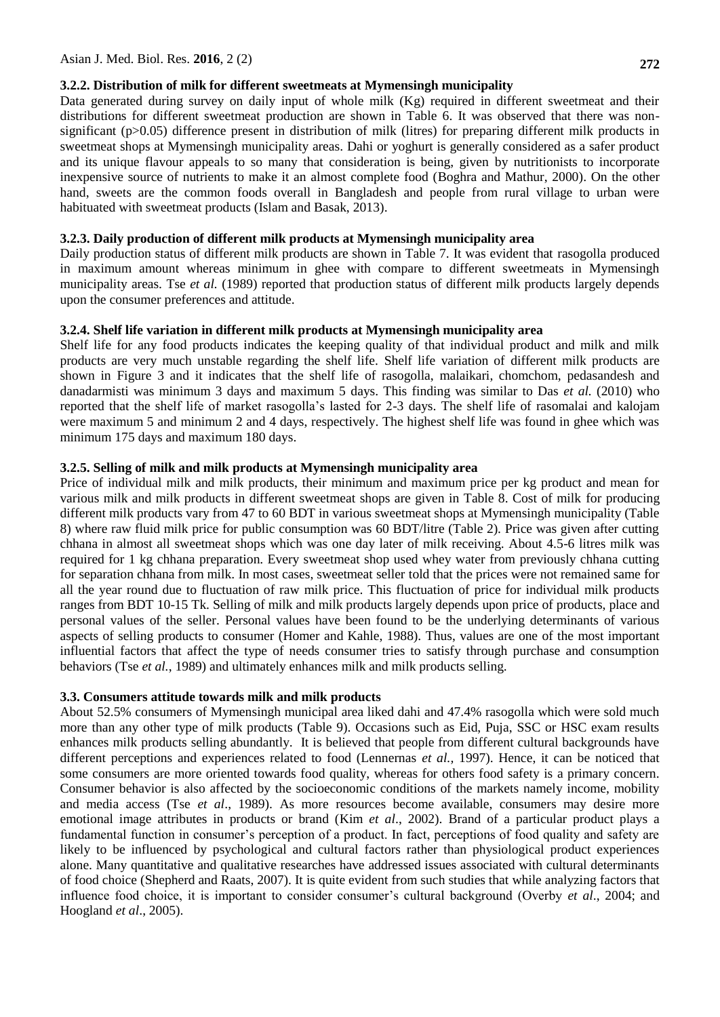## **3.2.2. Distribution of milk for different sweetmeats at Mymensingh municipality**

Data generated during survey on daily input of whole milk (Kg) required in different sweetmeat and their distributions for different sweetmeat production are shown in Table 6. It was observed that there was nonsignificant (p>0.05) difference present in distribution of milk (litres) for preparing different milk products in sweetmeat shops at Mymensingh municipality areas. Dahi or yoghurt is generally considered as a safer product and its unique flavour appeals to so many that consideration is being, given by nutritionists to incorporate inexpensive source of nutrients to make it an almost complete food (Boghra and Mathur, 2000). On the other hand, sweets are the common foods overall in Bangladesh and people from rural village to urban were habituated with sweetmeat products (Islam and Basak, 2013).

## **3.2.3. Daily production of different milk products at Mymensingh municipality area**

Daily production status of different milk products are shown in Table 7. It was evident that rasogolla produced in maximum amount whereas minimum in ghee with compare to different sweetmeats in Mymensingh municipality areas. Tse *et al.* (1989) reported that production status of different milk products largely depends upon the consumer preferences and attitude.

## **3.2.4. Shelf life variation in different milk products at Mymensingh municipality area**

Shelf life for any food products indicates the keeping quality of that individual product and milk and milk products are very much unstable regarding the shelf life. Shelf life variation of different milk products are shown in Figure 3 and it indicates that the shelf life of rasogolla, malaikari, chomchom, pedasandesh and danadarmisti was minimum 3 days and maximum 5 days. This finding was similar to Das *et al.* (2010) who reported that the shelf life of market rasogolla's lasted for 2-3 days. The shelf life of rasomalai and kalojam were maximum 5 and minimum 2 and 4 days, respectively. The highest shelf life was found in ghee which was minimum 175 days and maximum 180 days.

## **3.2.5. Selling of milk and milk products at Mymensingh municipality area**

Price of individual milk and milk products, their minimum and maximum price per kg product and mean for various milk and milk products in different sweetmeat shops are given in Table 8. Cost of milk for producing different milk products vary from 47 to 60 BDT in various sweetmeat shops at Mymensingh municipality (Table 8) where raw fluid milk price for public consumption was 60 BDT/litre (Table 2). Price was given after cutting chhana in almost all sweetmeat shops which was one day later of milk receiving. About 4.5-6 litres milk was required for 1 kg chhana preparation. Every sweetmeat shop used whey water from previously chhana cutting for separation chhana from milk. In most cases, sweetmeat seller told that the prices were not remained same for all the year round due to fluctuation of raw milk price. This fluctuation of price for individual milk products ranges from BDT 10-15 Tk. Selling of milk and milk products largely depends upon price of products, place and personal values of the seller. Personal values have been found to be the underlying determinants of various aspects of selling products to consumer (Homer and Kahle, 1988). Thus, values are one of the most important influential factors that affect the type of needs consumer tries to satisfy through purchase and consumption behaviors (Tse *et al.*, 1989) and ultimately enhances milk and milk products selling.

## **3.3. Consumers attitude towards milk and milk products**

About 52.5% consumers of Mymensingh municipal area liked dahi and 47.4% rasogolla which were sold much more than any other type of milk products (Table 9). Occasions such as Eid, Puja, SSC or HSC exam results enhances milk products selling abundantly. It is believed that people from different cultural backgrounds have different perceptions and experiences related to food (Lennernas *et al.,* 1997). Hence, it can be noticed that some consumers are more oriented towards food quality, whereas for others food safety is a primary concern. Consumer behavior is also affected by the socioeconomic conditions of the markets namely income, mobility and media access (Tse *et al*., 1989). As more resources become available, consumers may desire more emotional image attributes in products or brand (Kim *et al*., 2002). Brand of a particular product plays a fundamental function in consumer's perception of a product. In fact, perceptions of food quality and safety are likely to be influenced by psychological and cultural factors rather than physiological product experiences alone. Many quantitative and qualitative researches have addressed issues associated with cultural determinants of food choice (Shepherd and Raats, 2007). It is quite evident from such studies that while analyzing factors that influence food choice, it is important to consider consumer's cultural background (Overby *et al*., 2004; and Hoogland *et al*., 2005).